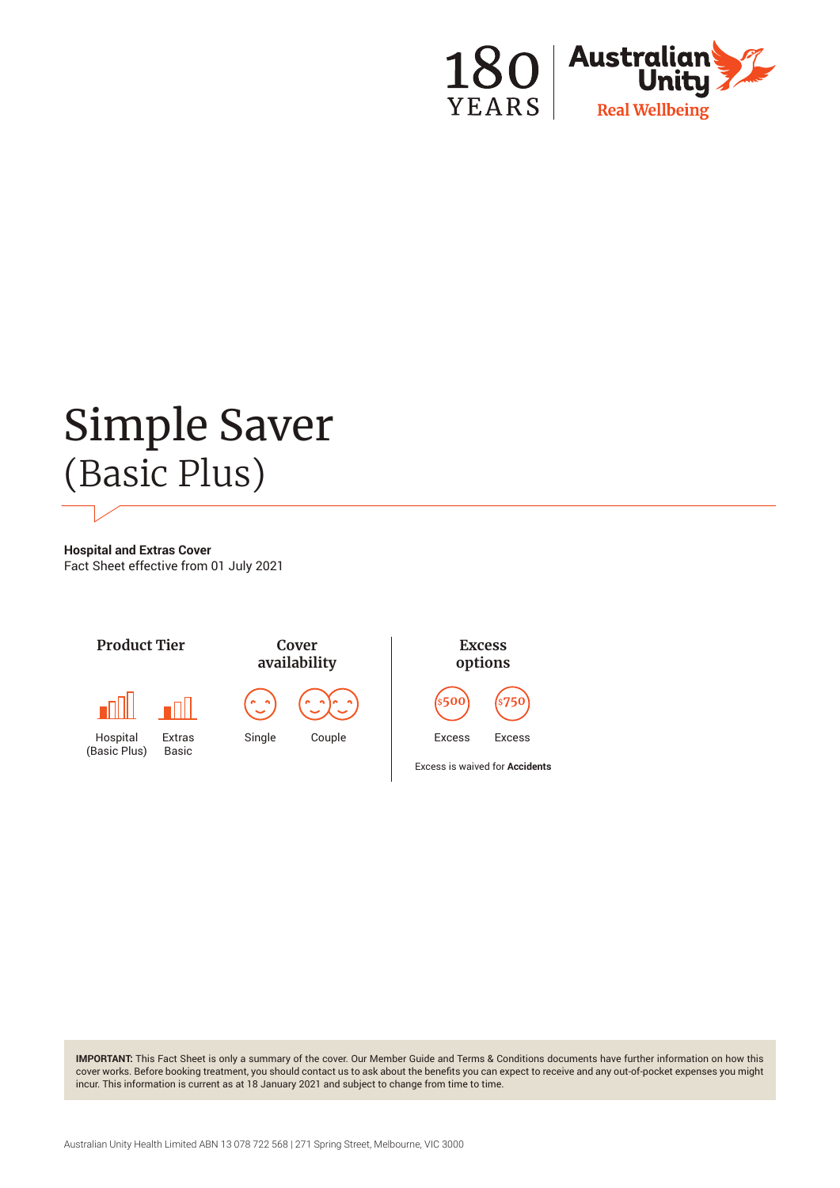

# Simple Saver (Basic Plus)

**Hospital and Extras Cover** Fact Sheet effective from 01 July 2021



**IMPORTANT:** This Fact Sheet is only a summary of the cover. Our Member Guide and Terms & Conditions documents have further information on how this cover works. Before booking treatment, you should contact us to ask about the benefits you can expect to receive and any out-of-pocket expenses you might incur. This information is current as at 18 January 2021 and subject to change from time to time.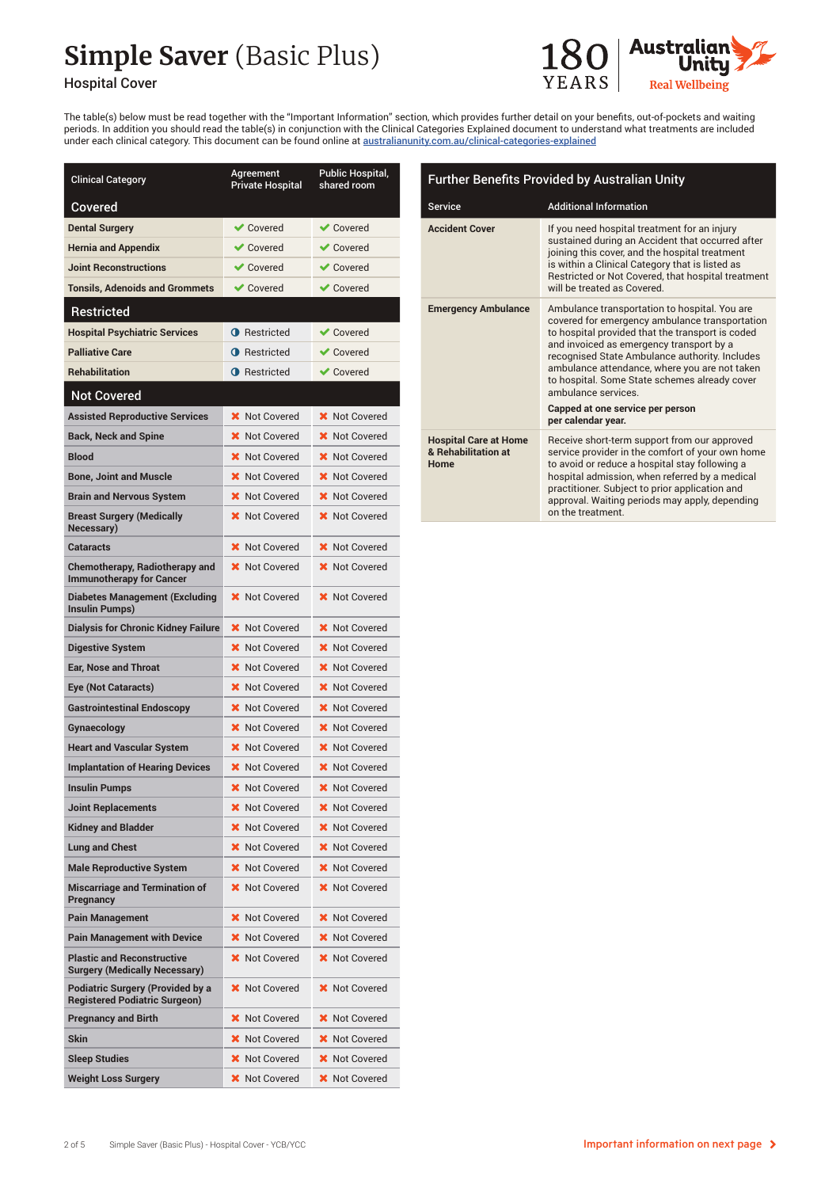## **Simple Saver** (Basic Plus)



#### Hospital Cover

The table(s) below must be read together with the "Important Information" section, which provides further detail on your benefits, out-of-pockets and waiting periods. In addition you should read the table(s) in conjunction with the Clinical Categories Explained document to understand what treatments are included under each clinical category. This document can be found online at australianunity.com.au/clinical-categories-explained

| <b>Clinical Category</b>                                                        | <b>Agreement</b><br><b>Private Hospital</b> | Public Hospital,<br>shared room |
|---------------------------------------------------------------------------------|---------------------------------------------|---------------------------------|
| Covered                                                                         |                                             |                                 |
| <b>Dental Surgery</b>                                                           | <b>◆</b> Covered                            | $\blacktriangleright$ Covered   |
| <b>Hernia and Appendix</b>                                                      | <b>◆ Covered</b>                            | $\vee$ Covered                  |
| <b>Joint Reconstructions</b>                                                    | $\blacktriangleright$ Covered               | $\blacktriangleright$ Covered   |
| <b>Tonsils, Adenoids and Grommets</b>                                           | $\vee$ Covered                              | $\vee$ Covered                  |
| <b>Restricted</b>                                                               |                                             |                                 |
| <b>Hospital Psychiatric Services</b>                                            | <b>A</b> Restricted                         | $\vee$ Covered                  |
| <b>Palliative Care</b>                                                          | <b>O</b> Restricted                         | $\blacktriangleright$ Covered   |
| <b>Rehabilitation</b>                                                           | <b>O</b> Restricted                         | $\vee$ Covered                  |
| <b>Not Covered</b>                                                              |                                             |                                 |
| <b>Assisted Reproductive Services</b>                                           | <b>X</b> Not Covered                        | <b>X</b> Not Covered            |
| <b>Back, Neck and Spine</b>                                                     | <b>X</b> Not Covered                        | <b>X</b> Not Covered            |
| <b>Blood</b>                                                                    | <b>X</b> Not Covered                        | <b>X</b> Not Covered            |
| Bone, Joint and Muscle                                                          | <b>X</b> Not Covered                        | <b>X</b> Not Covered            |
| <b>Brain and Nervous System</b>                                                 | X Not Covered                               | <b>X</b> Not Covered            |
| <b>Breast Surgery (Medically</b><br>Necessary)                                  | <b>X</b> Not Covered                        | <b>X</b> Not Covered            |
| Cataracts                                                                       | <b>X</b> Not Covered                        | <b>X</b> Not Covered            |
| <b>Chemotherapy, Radiotherapy and</b><br><b>Immunotherapy for Cancer</b>        | <b>X</b> Not Covered                        | X Not Covered                   |
| Diabetes Management (Excluding<br>Insulin Pumps)                                | <b>X</b> Not Covered                        | <b>X</b> Not Covered            |
| Dialysis for Chronic Kidney Failure                                             | <b>X</b> Not Covered                        | <b>X</b> Not Covered            |
| Digestive System                                                                | <b>X</b> Not Covered                        | <b>X</b> Not Covered            |
| <b>Ear, Nose and Throat</b>                                                     | <b>X</b> Not Covered                        | <b>X</b> Not Covered            |
| Eye (Not Cataracts)                                                             | <b>X</b> Not Covered                        | <b>X</b> Not Covered            |
| <b>Gastrointestinal Endoscopy</b>                                               | <b>X</b> Not Covered                        | <b>X</b> Not Covered            |
| Gynaecology                                                                     | X Not Covered                               | <b>X</b> Not Covered            |
| <b>Heart and Vascular System</b>                                                | <b>X</b> Not Covered                        | <b>X</b> Not Covered            |
| <b>Implantation of Hearing Devices</b>                                          | <b>X</b> Not Covered                        | <b>X</b> Not Covered            |
| <b>Insulin Pumps</b>                                                            | <b>X</b> Not Covered                        | <b>X</b> Not Covered            |
| Joint Replacements                                                              | <b>X</b> Not Covered                        | <b>X</b> Not Covered            |
| <b>Kidney and Bladder</b>                                                       | <b>X</b> Not Covered                        | <b>X</b> Not Covered            |
| <b>Lung and Chest</b>                                                           | <b>X</b> Not Covered                        | <b>X</b> Not Covered            |
| Male Reproductive System                                                        | <b>X</b> Not Covered                        | <b>X</b> Not Covered            |
| <b>Miscarriage and Termination of</b><br>Pregnancy                              | <b>X</b> Not Covered                        | <b>X</b> Not Covered            |
| Pain Management                                                                 | <b>X</b> Not Covered                        | <b>X</b> Not Covered            |
| <b>Pain Management with Device</b>                                              | <b>X</b> Not Covered                        | X Not Covered                   |
| <b>Plastic and Reconstructive</b><br><b>Surgery (Medically Necessary)</b>       | <b>X</b> Not Covered                        | <b>X</b> Not Covered            |
| <b>Podiatric Surgery (Provided by a</b><br><b>Registered Podiatric Surgeon)</b> | <b>X</b> Not Covered                        | <b>X</b> Not Covered            |
| <b>Pregnancy and Birth</b>                                                      | <b>X</b> Not Covered                        | <b>X</b> Not Covered            |
| Skin                                                                            | <b>X</b> Not Covered                        | <b>X</b> Not Covered            |
| <b>Sleep Studies</b>                                                            | <b>X</b> Not Covered                        | <b>X</b> Not Covered            |
| Weight Loss Surgery                                                             | <b>X</b> Not Covered                        | <b>X</b> Not Covered            |

| <b>Further Benefits Provided by Australian Unity</b>        |                                                                                                                                                                                                                                                                                                                                                                                                                                     |  |  |
|-------------------------------------------------------------|-------------------------------------------------------------------------------------------------------------------------------------------------------------------------------------------------------------------------------------------------------------------------------------------------------------------------------------------------------------------------------------------------------------------------------------|--|--|
| <b>Service</b>                                              | <b>Additional Information</b>                                                                                                                                                                                                                                                                                                                                                                                                       |  |  |
| <b>Accident Cover</b>                                       | If you need hospital treatment for an injury<br>sustained during an Accident that occurred after<br>joining this cover, and the hospital treatment<br>is within a Clinical Category that is listed as<br>Restricted or Not Covered, that hospital treatment<br>will be treated as Covered.                                                                                                                                          |  |  |
| <b>Emergency Ambulance</b>                                  | Ambulance transportation to hospital. You are<br>covered for emergency ambulance transportation<br>to hospital provided that the transport is coded<br>and invoiced as emergency transport by a<br>recognised State Ambulance authority. Includes<br>ambulance attendance, where you are not taken<br>to hospital. Some State schemes already cover<br>ambulance services<br>Capped at one service per person<br>per calendar year. |  |  |
| <b>Hospital Care at Home</b><br>& Rehabilitation at<br>Home | Receive short-term support from our approved<br>service provider in the comfort of your own home<br>to avoid or reduce a hospital stay following a<br>hospital admission, when referred by a medical<br>practitioner. Subject to prior application and<br>approval. Waiting periods may apply, depending                                                                                                                            |  |  |

on the treatment.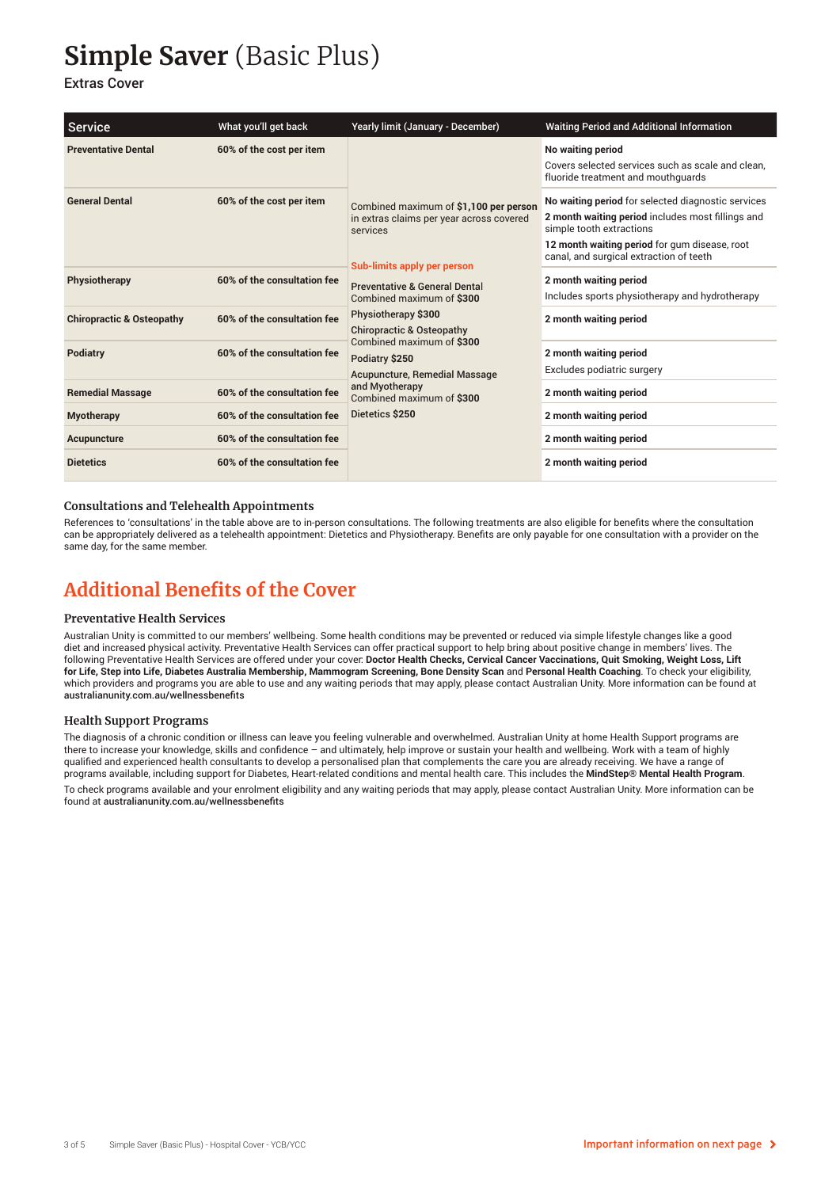## **Simple Saver** (Basic Plus)

#### Extras Cover

| <b>Service</b>                       | What you'll get back        | Yearly limit (January - December)                                                                                                                                                                                                                                                                                                                                                                                              | <b>Waiting Period and Additional Information</b>                                                                                                                                                                                |
|--------------------------------------|-----------------------------|--------------------------------------------------------------------------------------------------------------------------------------------------------------------------------------------------------------------------------------------------------------------------------------------------------------------------------------------------------------------------------------------------------------------------------|---------------------------------------------------------------------------------------------------------------------------------------------------------------------------------------------------------------------------------|
| <b>Preventative Dental</b>           | 60% of the cost per item    | Combined maximum of \$1,100 per person<br>in extras claims per year across covered<br>services<br>Sub-limits apply per person<br><b>Preventative &amp; General Dental</b><br>Combined maximum of \$300<br>Physiotherapy \$300<br><b>Chiropractic &amp; Osteopathy</b><br>Combined maximum of \$300<br>Podiatry \$250<br><b>Acupuncture, Remedial Massage</b><br>and Myotherapy<br>Combined maximum of \$300<br>Dietetics \$250 | No waiting period<br>Covers selected services such as scale and clean.<br>fluoride treatment and mouthquards                                                                                                                    |
| <b>General Dental</b>                | 60% of the cost per item    |                                                                                                                                                                                                                                                                                                                                                                                                                                | No waiting period for selected diagnostic services<br>2 month waiting period includes most fillings and<br>simple tooth extractions<br>12 month waiting period for gum disease, root<br>canal, and surgical extraction of teeth |
| Physiotherapy                        | 60% of the consultation fee |                                                                                                                                                                                                                                                                                                                                                                                                                                | 2 month waiting period<br>Includes sports physiotherapy and hydrotherapy                                                                                                                                                        |
| <b>Chiropractic &amp; Osteopathy</b> | 60% of the consultation fee |                                                                                                                                                                                                                                                                                                                                                                                                                                | 2 month waiting period                                                                                                                                                                                                          |
| Podiatry                             | 60% of the consultation fee |                                                                                                                                                                                                                                                                                                                                                                                                                                | 2 month waiting period<br>Excludes podiatric surgery                                                                                                                                                                            |
| <b>Remedial Massage</b>              | 60% of the consultation fee |                                                                                                                                                                                                                                                                                                                                                                                                                                | 2 month waiting period                                                                                                                                                                                                          |
| <b>Myotherapy</b>                    | 60% of the consultation fee |                                                                                                                                                                                                                                                                                                                                                                                                                                | 2 month waiting period                                                                                                                                                                                                          |
| Acupuncture                          | 60% of the consultation fee |                                                                                                                                                                                                                                                                                                                                                                                                                                | 2 month waiting period                                                                                                                                                                                                          |
| <b>Dietetics</b>                     | 60% of the consultation fee |                                                                                                                                                                                                                                                                                                                                                                                                                                | 2 month waiting period                                                                                                                                                                                                          |

#### **Consultations and Telehealth Appointments**

References to 'consultations' in the table above are to in-person consultations. The following treatments are also eligible for benefits where the consultation can be appropriately delivered as a telehealth appointment: Dietetics and Physiotherapy. Benefits are only payable for one consultation with a provider on the same day, for the same member.

### **Additional Benefits of the Cover**

#### **Preventative Health Services**

Australian Unity is committed to our members' wellbeing. Some health conditions may be prevented or reduced via simple lifestyle changes like a good diet and increased physical activity. Preventative Health Services can offer practical support to help bring about positive change in members' lives. The following Preventative Health Services are offered under your cover: **Doctor Health Checks, Cervical Cancer Vaccinations, Quit Smoking, Weight Loss, Lift for Life, Step into Life, Diabetes Australia Membership, Mammogram Screening, Bone Density Scan** and **Personal Health Coaching**. To check your eligibility, which providers and programs you are able to use and any waiting periods that may apply, please contact Australian Unity. More information can be found at australianunity.com.au/wellnessbenefits

#### **Health Support Programs**

The diagnosis of a chronic condition or illness can leave you feeling vulnerable and overwhelmed. Australian Unity at home Health Support programs are there to increase your knowledge, skills and confidence – and ultimately, help improve or sustain your health and wellbeing. Work with a team of highly qualified and experienced health consultants to develop a personalised plan that complements the care you are already receiving. We have a range of programs available, including support for Diabetes, Heart-related conditions and mental health care. This includes the **MindStep® Mental Health Program**.

To check programs available and your enrolment eligibility and any waiting periods that may apply, please contact Australian Unity. More information can be found at australianunity.com.au/wellnessbenefits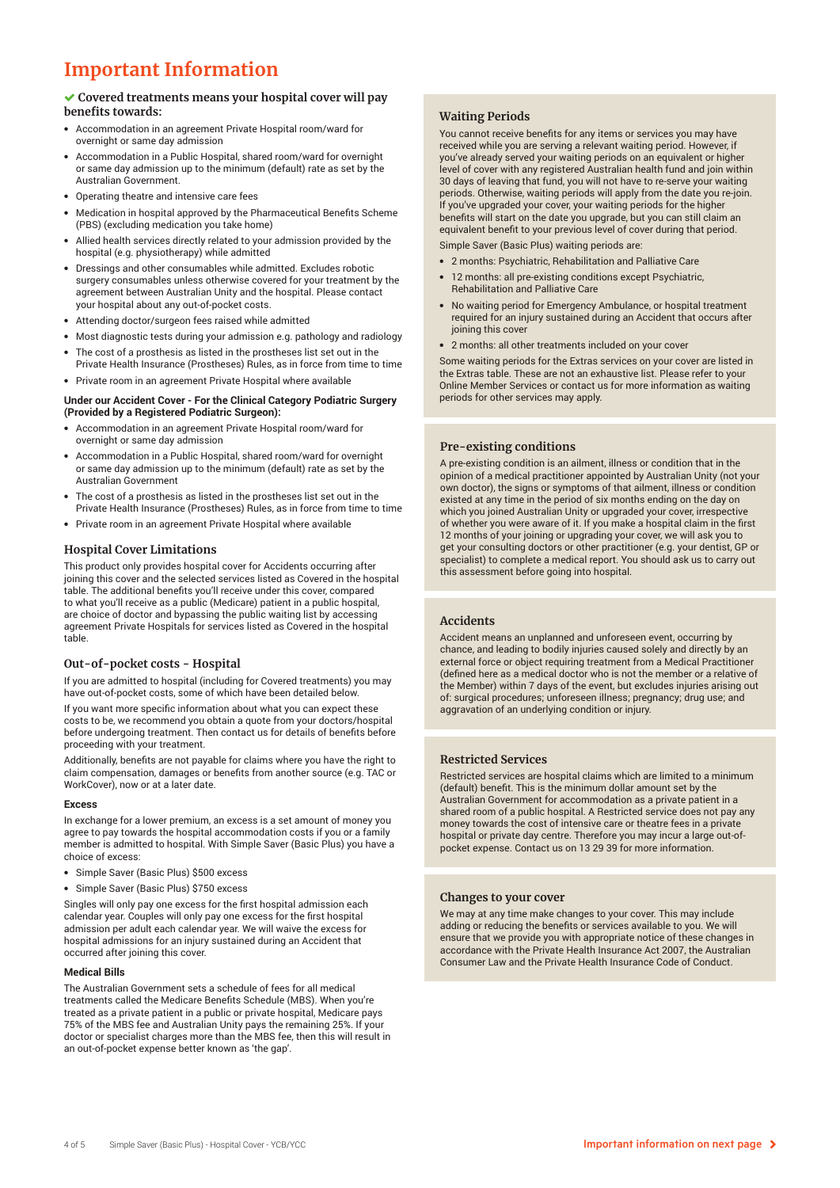### **Important Information**

#### **Covered treatments means your hospital cover will pay benefits towards:**

- Accommodation in an agreement Private Hospital room/ward for overnight or same day admission
- Accommodation in a Public Hospital, shared room/ward for overnight or same day admission up to the minimum (default) rate as set by the Australian Government.
- Operating theatre and intensive care fees
- Medication in hospital approved by the Pharmaceutical Benefits Scheme (PBS) (excluding medication you take home)
- Allied health services directly related to your admission provided by the hospital (e.g. physiotherapy) while admitted
- Dressings and other consumables while admitted. Excludes robotic surgery consumables unless otherwise covered for your treatment by the agreement between Australian Unity and the hospital. Please contact your hospital about any out-of-pocket costs.
- Attending doctor/surgeon fees raised while admitted
- Most diagnostic tests during your admission e.g. pathology and radiology
- The cost of a prosthesis as listed in the prostheses list set out in the Private Health Insurance (Prostheses) Rules, as in force from time to time
- Private room in an agreement Private Hospital where available

#### **Under our Accident Cover - For the Clinical Category Podiatric Surgery (Provided by a Registered Podiatric Surgeon):**

- Accommodation in an agreement Private Hospital room/ward for overnight or same day admission
- Accommodation in a Public Hospital, shared room/ward for overnight or same day admission up to the minimum (default) rate as set by the Australian Government
- The cost of a prosthesis as listed in the prostheses list set out in the Private Health Insurance (Prostheses) Rules, as in force from time to time
- Private room in an agreement Private Hospital where available

#### **Hospital Cover Limitations**

This product only provides hospital cover for Accidents occurring after joining this cover and the selected services listed as Covered in the hospital table. The additional benefits you'll receive under this cover, compared to what you'll receive as a public (Medicare) patient in a public hospital, are choice of doctor and bypassing the public waiting list by accessing agreement Private Hospitals for services listed as Covered in the hospital table.

#### **Out-of-pocket costs - Hospital**

If you are admitted to hospital (including for Covered treatments) you may have out-of-pocket costs, some of which have been detailed below.

If you want more specific information about what you can expect these costs to be, we recommend you obtain a quote from your doctors/hospital before undergoing treatment. Then contact us for details of benefits before proceeding with your treatment.

Additionally, benefits are not payable for claims where you have the right to claim compensation, damages or benefits from another source (e.g. TAC or WorkCover), now or at a later date.

#### **Excess**

In exchange for a lower premium, an excess is a set amount of money you agree to pay towards the hospital accommodation costs if you or a family member is admitted to hospital. With Simple Saver (Basic Plus) you have a choice of excess:

- Simple Saver (Basic Plus) \$500 excess
- Simple Saver (Basic Plus) \$750 excess

Singles will only pay one excess for the first hospital admission each calendar year. Couples will only pay one excess for the first hospital admission per adult each calendar year. We will waive the excess for hospital admissions for an injury sustained during an Accident that occurred after joining this cover.

#### **Medical Bills**

The Australian Government sets a schedule of fees for all medical treatments called the Medicare Benefits Schedule (MBS). When you're treated as a private patient in a public or private hospital, Medicare pays 75% of the MBS fee and Australian Unity pays the remaining 25%. If your doctor or specialist charges more than the MBS fee, then this will result in an out-of-pocket expense better known as 'the gap'.

#### **Waiting Periods**

You cannot receive benefits for any items or services you may have received while you are serving a relevant waiting period. However, if you've already served your waiting periods on an equivalent or higher level of cover with any registered Australian health fund and join within 30 days of leaving that fund, you will not have to re-serve your waiting periods. Otherwise, waiting periods will apply from the date you re-join. If you've upgraded your cover, your waiting periods for the higher benefits will start on the date you upgrade, but you can still claim an equivalent benefit to your previous level of cover during that period. Simple Saver (Basic Plus) waiting periods are:

• 2 months: Psychiatric, Rehabilitation and Palliative Care

- 12 months: all pre-existing conditions except Psychiatric, Rehabilitation and Palliative Care
- No waiting period for Emergency Ambulance, or hospital treatment required for an injury sustained during an Accident that occurs after joining this cover
- 2 months: all other treatments included on your cover

Some waiting periods for the Extras services on your cover are listed in the Extras table. These are not an exhaustive list. Please refer to your Online Member Services or contact us for more information as waiting periods for other services may apply.

#### **Pre-existing conditions**

A pre-existing condition is an ailment, illness or condition that in the opinion of a medical practitioner appointed by Australian Unity (not your own doctor), the signs or symptoms of that ailment, illness or condition existed at any time in the period of six months ending on the day on which you joined Australian Unity or upgraded your cover, irrespective of whether you were aware of it. If you make a hospital claim in the first 12 months of your joining or upgrading your cover, we will ask you to get your consulting doctors or other practitioner (e.g. your dentist, GP or specialist) to complete a medical report. You should ask us to carry out this assessment before going into hospital.

#### **Accidents**

Accident means an unplanned and unforeseen event, occurring by chance, and leading to bodily injuries caused solely and directly by an external force or object requiring treatment from a Medical Practitioner (defined here as a medical doctor who is not the member or a relative of the Member) within 7 days of the event, but excludes injuries arising out of: surgical procedures; unforeseen illness; pregnancy; drug use; and aggravation of an underlying condition or injury.

#### **Restricted Services**

Restricted services are hospital claims which are limited to a minimum (default) benefit. This is the minimum dollar amount set by the Australian Government for accommodation as a private patient in a shared room of a public hospital. A Restricted service does not pay any money towards the cost of intensive care or theatre fees in a private hospital or private day centre. Therefore you may incur a large out-ofpocket expense. Contact us on 13 29 39 for more information.

#### **Changes to your cover**

We may at any time make changes to your cover. This may include adding or reducing the benefits or services available to you. We will ensure that we provide you with appropriate notice of these changes in accordance with the Private Health Insurance Act 2007, the Australian Consumer Law and the Private Health Insurance Code of Conduct.